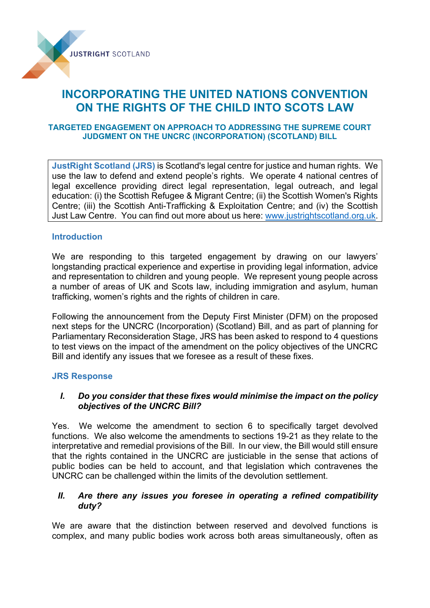

# **INCORPORATING THE UNITED NATIONS CONVENTION ON THE RIGHTS OF THE CHILD INTO SCOTS LAW**

## **TARGETED ENGAGEMENT ON APPROACH TO ADDRESSING THE SUPREME COURT JUDGMENT ON THE UNCRC (INCORPORATION) (SCOTLAND) BILL**

**JustRight Scotland (JRS)** is Scotland's legal centre for justice and human rights. We use the law to defend and extend people's rights. We operate 4 national centres of legal excellence providing direct legal representation, legal outreach, and legal education: (i) the Scottish Refugee & Migrant Centre; (ii) the Scottish Women's Rights Centre; (iii) the Scottish Anti-Trafficking & Exploitation Centre; and (iv) the Scottish Just Law Centre. You can find out more about us here: [www.justrightscotland.org.uk.](http://www.justrightscotland.org.uk/)

## **Introduction**

We are responding to this targeted engagement by drawing on our lawyers' longstanding practical experience and expertise in providing legal information, advice and representation to children and young people. We represent young people across a number of areas of UK and Scots law, including immigration and asylum, human trafficking, women's rights and the rights of children in care.

Following the announcement from the Deputy First Minister (DFM) on the proposed next steps for the UNCRC (Incorporation) (Scotland) Bill, and as part of planning for Parliamentary Reconsideration Stage, JRS has been asked to respond to 4 questions to test views on the impact of the amendment on the policy objectives of the UNCRC Bill and identify any issues that we foresee as a result of these fixes.

## **JRS Response**

## *I. Do you consider that these fixes would minimise the impact on the policy objectives of the UNCRC Bill?*

Yes. We welcome the amendment to section 6 to specifically target devolved functions. We also welcome the amendments to sections 19-21 as they relate to the interpretative and remedial provisions of the Bill. In our view, the Bill would still ensure that the rights contained in the UNCRC are justiciable in the sense that actions of public bodies can be held to account, and that legislation which contravenes the UNCRC can be challenged within the limits of the devolution settlement.

# *II. Are there any issues you foresee in operating a refined compatibility duty?*

We are aware that the distinction between reserved and devolved functions is complex, and many public bodies work across both areas simultaneously, often as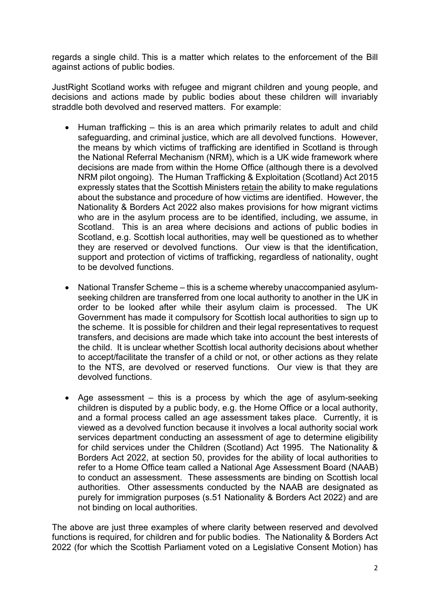regards a single child. This is a matter which relates to the enforcement of the Bill against actions of public bodies.

JustRight Scotland works with refugee and migrant children and young people, and decisions and actions made by public bodies about these children will invariably straddle both devolved and reserved matters. For example:

- Human trafficking this is an area which primarily relates to adult and child safeguarding, and criminal justice, which are all devolved functions. However, the means by which victims of trafficking are identified in Scotland is through the National Referral Mechanism (NRM), which is a UK wide framework where decisions are made from within the Home Office (although there is a devolved NRM pilot ongoing). The Human Trafficking & Exploitation (Scotland) Act 2015 expressly states that the Scottish Ministers retain the ability to make regulations about the substance and procedure of how victims are identified. However, the Nationality & Borders Act 2022 also makes provisions for how migrant victims who are in the asylum process are to be identified, including, we assume, in Scotland. This is an area where decisions and actions of public bodies in Scotland, e.g. Scottish local authorities, may well be questioned as to whether they are reserved or devolved functions. Our view is that the identification, support and protection of victims of trafficking, regardless of nationality, ought to be devolved functions.
- National Transfer Scheme this is a scheme whereby unaccompanied asylumseeking children are transferred from one local authority to another in the UK in order to be looked after while their asylum claim is processed. The UK Government has made it compulsory for Scottish local authorities to sign up to the scheme. It is possible for children and their legal representatives to request transfers, and decisions are made which take into account the best interests of the child. It is unclear whether Scottish local authority decisions about whether to accept/facilitate the transfer of a child or not, or other actions as they relate to the NTS, are devolved or reserved functions. Our view is that they are devolved functions.
- Age assessment this is a process by which the age of asylum-seeking children is disputed by a public body, e.g. the Home Office or a local authority, and a formal process called an age assessment takes place. Currently, it is viewed as a devolved function because it involves a local authority social work services department conducting an assessment of age to determine eligibility for child services under the Children (Scotland) Act 1995. The Nationality & Borders Act 2022, at section 50, provides for the ability of local authorities to refer to a Home Office team called a National Age Assessment Board (NAAB) to conduct an assessment. These assessments are binding on Scottish local authorities. Other assessments conducted by the NAAB are designated as purely for immigration purposes (s.51 Nationality & Borders Act 2022) and are not binding on local authorities.

The above are just three examples of where clarity between reserved and devolved functions is required, for children and for public bodies. The Nationality & Borders Act 2022 (for which the Scottish Parliament voted on a Legislative Consent Motion) has